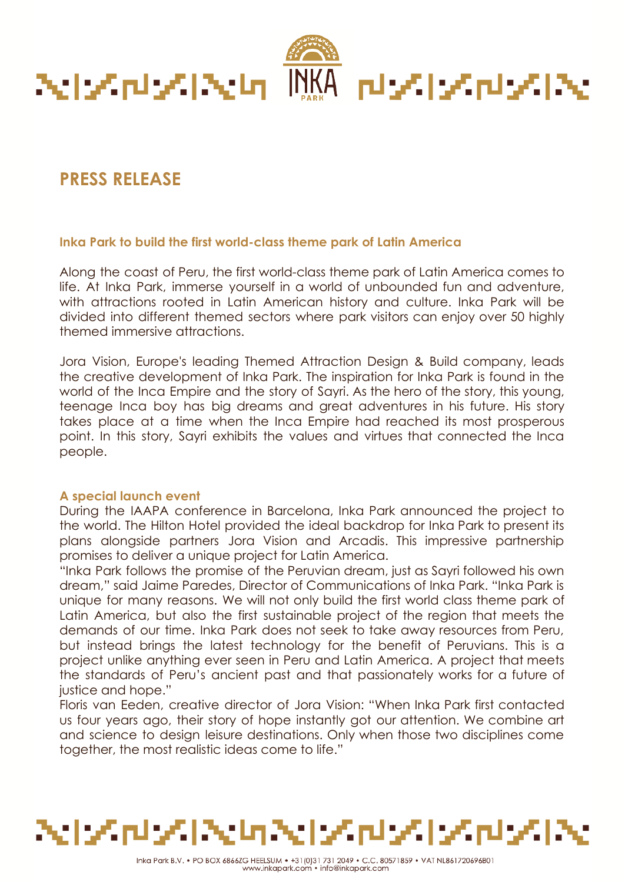

# **PRESS RELEASE**

## **Inka Park to build the first world-class theme park of Latin America**

Along the coast of Peru, the first world-class theme park of Latin America comes to life. At Inka Park, immerse yourself in a world of unbounded fun and adventure, with attractions rooted in Latin American history and culture. Inka Park will be divided into different themed sectors where park visitors can enjoy over 50 highly themed immersive attractions.

Jora Vision, Europe's leading Themed Attraction Design & Build company, leads the creative development of Inka Park. The inspiration for Inka Park is found in the world of the Inca Empire and the story of Sayri. As the hero of the story, this young, teenage Inca boy has big dreams and great adventures in his future. His story takes place at a time when the Inca Empire had reached its most prosperous point. In this story, Sayri exhibits the values and virtues that connected the Inca people.

# **A special launch event**

During the IAAPA conference in Barcelona, Inka Park announced the project to the world. The Hilton Hotel provided the ideal backdrop for Inka Park to present its plans alongside partners Jora Vision and Arcadis. This impressive partnership promises to deliver a unique project for Latin America.

"Inka Park follows the promise of the Peruvian dream, just as Sayri followed his own dream," said Jaime Paredes, Director of Communications of Inka Park. "Inka Park is unique for many reasons. We will not only build the first world class theme park of Latin America, but also the first sustainable project of the region that meets the demands of our time. Inka Park does not seek to take away resources from Peru, but instead brings the latest technology for the benefit of Peruvians. This is a project unlike anything ever seen in Peru and Latin America. A project that meets the standards of Peru's ancient past and that passionately works for a future of justice and hope."

Floris van Eeden, creative director of Jora Vision: "When Inka Park first contacted us four years ago, their story of hope instantly got our attention. We combine art and science to design leisure destinations. Only when those two disciplines come together, the most realistic ideas come to life."